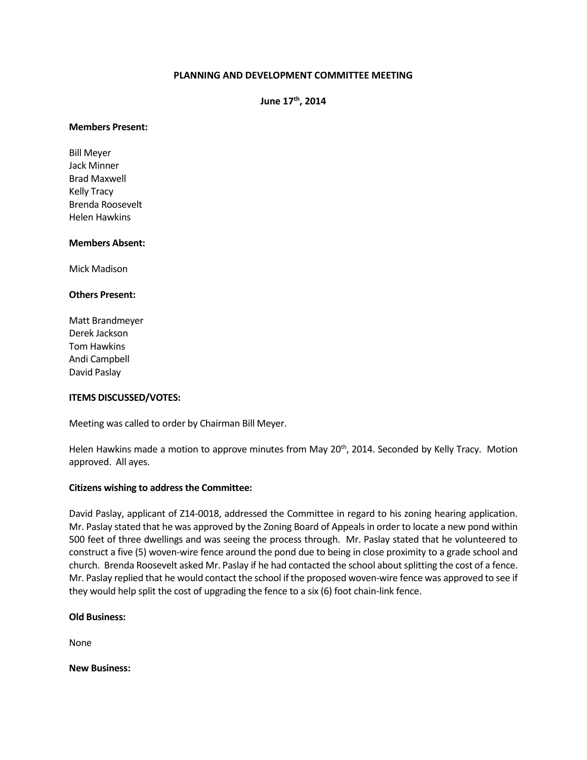# **PLANNING AND DEVELOPMENT COMMITTEE MEETING**

**June 17th, 2014**

#### **Members Present:**

Bill Meyer Jack Minner Brad Maxwell Kelly Tracy Brenda Roosevelt Helen Hawkins

#### **Members Absent:**

Mick Madison

## **Others Present:**

Matt Brandmeyer Derek Jackson Tom Hawkins Andi Campbell David Paslay

# **ITEMS DISCUSSED/VOTES:**

Meeting was called to order by Chairman Bill Meyer.

Helen Hawkins made a motion to approve minutes from May 20<sup>th</sup>, 2014. Seconded by Kelly Tracy. Motion approved. All ayes.

# **Citizens wishing to address the Committee:**

David Paslay, applicant of Z14-0018, addressed the Committee in regard to his zoning hearing application. Mr. Paslay stated that he was approved by the Zoning Board of Appeals in order to locate a new pond within 500 feet of three dwellings and was seeing the process through. Mr. Paslay stated that he volunteered to construct a five (5) woven-wire fence around the pond due to being in close proximity to a grade school and church. Brenda Roosevelt asked Mr. Paslay if he had contacted the school about splitting the cost of a fence. Mr. Paslay replied that he would contact the school if the proposed woven-wire fence was approved to see if they would help split the cost of upgrading the fence to a six (6) foot chain-link fence.

#### **Old Business:**

None

**New Business:**